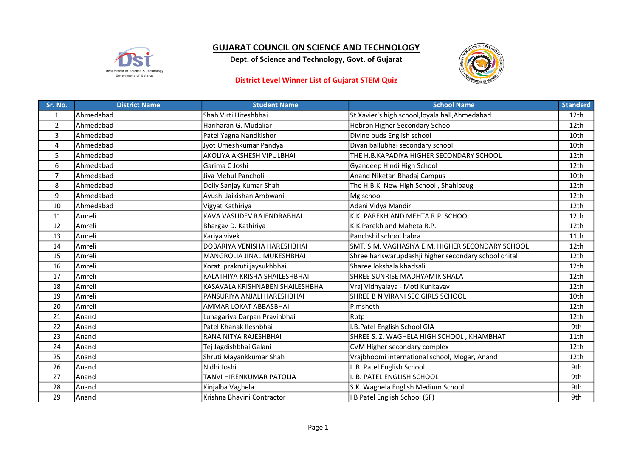

## GUJARAT COUNCIL ON SCIENCE AND TECHNOLOGY

Dept. of Science and Technology, Govt. of Gujarat

## District Level Winner List of Gujarat STEM Quiz

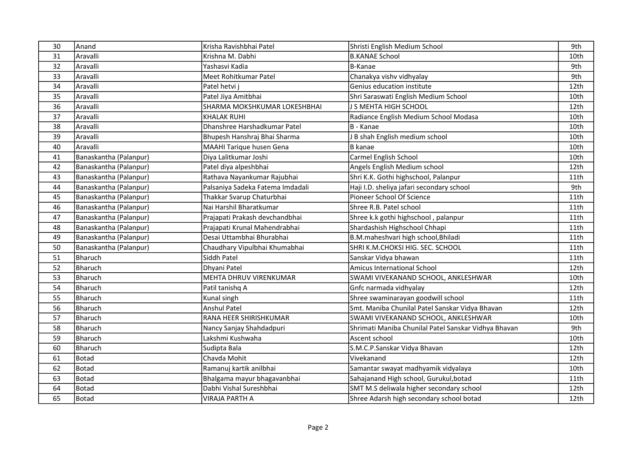| 30 | Anand                  | Krisha Ravishbhai Patel          | Shristi English Medium School                        | 9th  |
|----|------------------------|----------------------------------|------------------------------------------------------|------|
| 31 | Aravalli               | Krishna M. Dabhi                 | <b>B.KANAE School</b>                                | 10th |
| 32 | Aravalli               | Yashasvi Kadia                   | B-Kanae                                              | 9th  |
| 33 | Aravalli               | Meet Rohitkumar Patel            | Chanakya vishv vidhyalay                             | 9th  |
| 34 | Aravalli               | Patel hetvi j                    | Genius education institute                           | 12th |
| 35 | Aravalli               | Patel Jiya Amitbhai              | Shri Saraswati English Medium School                 | 10th |
| 36 | Aravalli               | SHARMA MOKSHKUMAR LOKESHBHAI     | J S MEHTA HIGH SCHOOL                                | 12th |
| 37 | Aravalli               | <b>KHALAK RUHI</b>               | Radiance English Medium School Modasa                | 10th |
| 38 | Aravalli               | Dhanshree Harshadkumar Patel     | B - Kanae                                            | 10th |
| 39 | Aravalli               | Bhupesh Hanshraj Bhai Sharma     | J B shah English medium school                       | 10th |
| 40 | Aravalli               | MAAHI Tarique husen Gena         | <b>B</b> kanae                                       | 10th |
| 41 | Banaskantha (Palanpur) | Diya Lalitkumar Joshi            | Carmel English School                                | 10th |
| 42 | Banaskantha (Palanpur) | Patel diya alpeshbhai            | Angels English Medium school                         | 12th |
| 43 | Banaskantha (Palanpur) | Rathava Nayankumar Rajubhai      | Shri K.K. Gothi highschool, Palanpur                 | 11th |
| 44 | Banaskantha (Palanpur) | Palsaniya Sadeka Fatema Imdadali | Haji I.D. sheliya jafari secondary school            | 9th  |
| 45 | Banaskantha (Palanpur) | Thakkar Svarup Chaturbhai        | Pioneer School Of Science                            | 11th |
| 46 | Banaskantha (Palanpur) | Nai Harshil Bharatkumar          | Shree R.B. Patel school                              | 11th |
| 47 | Banaskantha (Palanpur) | Prajapati Prakash devchandbhai   | Shree k.k gothi highschool, palanpur                 | 11th |
| 48 | Banaskantha (Palanpur) | Prajapati Krunal Mahendrabhai    | Shardashish Highschool Chhapi                        | 11th |
| 49 | Banaskantha (Palanpur) | Desai Uttambhai Bhurabhai        | B.M.maheshvari high school, Bhiladi                  | 11th |
| 50 | Banaskantha (Palanpur) | Chaudhary Vipulbhai Khumabhai    | SHRI K.M.CHOKSI HIG. SEC. SCHOOL                     | 11th |
| 51 | Bharuch                | Siddh Patel                      | Sanskar Vidya bhawan                                 | 11th |
| 52 | Bharuch                | Dhyani Patel                     | Amicus International School                          | 12th |
| 53 | Bharuch                | MEHTA DHRUV VIRENKUMAR           | SWAMI VIVEKANAND SCHOOL, ANKLESHWAR                  | 10th |
| 54 | Bharuch                | Patil tanishq A                  | Gnfc narmada vidhyalay                               | 12th |
| 55 | Bharuch                | Kunal singh                      | Shree swaminarayan goodwill school                   | 11th |
| 56 | Bharuch                | <b>Anshul Patel</b>              | Smt. Maniba Chunilal Patel Sanskar Vidya Bhavan      | 12th |
| 57 | Bharuch                | RANA HEER SHIRISHKUMAR           | SWAMI VIVEKANAND SCHOOL, ANKLESHWAR                  | 10th |
| 58 | Bharuch                | Nancy Sanjay Shahdadpuri         | Shrimati Maniba Chunilal Patel Sanskar Vidhya Bhavan | 9th  |
| 59 | Bharuch                | Lakshmi Kushwaha                 | Ascent school                                        | 10th |
| 60 | Bharuch                | Sudipta Bala                     | S.M.C.P.Sanskar Vidya Bhavan                         | 12th |
| 61 | <b>Botad</b>           | Chavda Mohit                     | Vivekanand                                           | 12th |
| 62 | Botad                  | Ramanuj kartik anilbhai          | Samantar swayat madhyamik vidyalaya                  | 10th |
| 63 | Botad                  | Bhalgama mayur bhagavanbhai      | Sahajanand High school, Gurukul, botad               | 11th |
| 64 | Botad                  | Dabhi Vishal Sureshbhai          | SMT M.S deliwala higher secondary school             | 12th |
| 65 | Botad                  | <b>VIRAJA PARTH A</b>            | Shree Adarsh high secondary school botad             | 12th |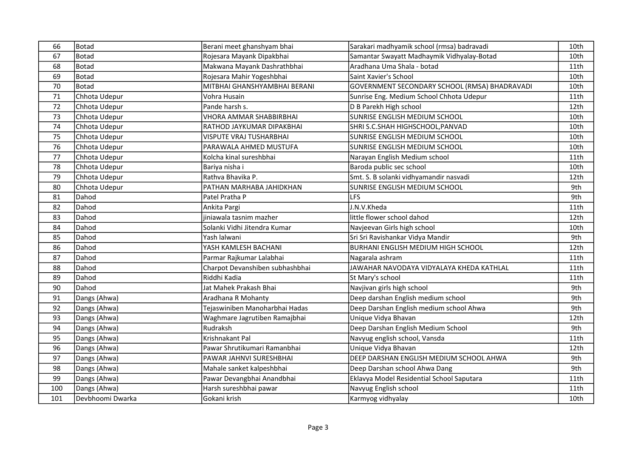| 66  | Botad            | Berani meet ghanshyam bhai      | Sarakari madhyamik school (rmsa) badravadi    | 10th |
|-----|------------------|---------------------------------|-----------------------------------------------|------|
| 67  | Botad            | Rojesara Mayank Dipakbhai       | Samantar Swayatt Madhaymik Vidhyalay-Botad    | 10th |
| 68  | Botad            | Makwana Mayank Dashrathbhai     | Aradhana Uma Shala - botad                    | 11th |
| 69  | Botad            | Rojesara Mahir Yogeshbhai       | Saint Xavier's School                         | 10th |
| 70  | Botad            | MITBHAI GHANSHYAMBHAI BERANI    | GOVERNMENT SECONDARY SCHOOL (RMSA) BHADRAVADI | 10th |
| 71  | Chhota Udepur    | Vohra Husain                    | Sunrise Eng. Medium School Chhota Udepur      | 11th |
| 72  | Chhota Udepur    | Pande harsh s.                  | D B Parekh High school                        | 12th |
| 73  | Chhota Udepur    | VHORA AMMAR SHABBIRBHAI         | SUNRISE ENGLISH MEDIUM SCHOOL                 | 10th |
| 74  | Chhota Udepur    | RATHOD JAYKUMAR DIPAKBHAI       | SHRI S.C.SHAH HIGHSCHOOL, PANVAD              | 10th |
| 75  | Chhota Udepur    | <b>VISPUTE VRAJ TUSHARBHAI</b>  | SUNRISE ENGLISH MEDIUM SCHOOL                 | 10th |
| 76  | Chhota Udepur    | PARAWALA AHMED MUSTUFA          | SUNRISE ENGLISH MEDIUM SCHOOL                 | 10th |
| 77  | Chhota Udepur    | Kolcha kinal sureshbhai         | Narayan English Medium school                 | 11th |
| 78  | Chhota Udepur    | Bariya nisha i                  | Baroda public sec school                      | 10th |
| 79  | Chhota Udepur    | Rathva Bhavika P.               | Smt. S. B solanki vidhyamandir nasvadi        | 12th |
| 80  | Chhota Udepur    | PATHAN MARHABA JAHIDKHAN        | SUNRISE ENGLISH MEDIUM SCHOOL                 | 9th  |
| 81  | Dahod            | Patel Pratha P                  | LFS                                           | 9th  |
| 82  | Dahod            | Ankita Pargi                    | J.N.V.Kheda                                   | 11th |
| 83  | Dahod            | jiniawala tasnim mazher         | little flower school dahod                    | 12th |
| 84  | Dahod            | Solanki Vidhi Jitendra Kumar    | Navjeevan Girls high school                   | 10th |
| 85  | Dahod            | Yash lalwani                    | Sri Sri Ravishankar Vidya Mandir              | 9th  |
| 86  | Dahod            | YASH KAMLESH BACHANI            | <b>BURHANI ENGLISH MEDIUM HIGH SCHOOL</b>     | 12th |
| 87  | Dahod            | Parmar Rajkumar Lalabhai        | Nagarala ashram                               | 11th |
| 88  | Dahod            | Charpot Devanshiben subhashbhai | JAWAHAR NAVODAYA VIDYALAYA KHEDA KATHLAL      | 11th |
| 89  | Dahod            | Riddhi Kadia                    | St Mary's school                              | 11th |
| 90  | Dahod            | Jat Mahek Prakash Bhai          | Navjivan girls high school                    | 9th  |
| 91  | Dangs (Ahwa)     | Aradhana R Mohanty              | Deep darshan English medium school            | 9th  |
| 92  | Dangs (Ahwa)     | Tejaswiniben Manoharbhai Hadas  | Deep Darshan English medium school Ahwa       | 9th  |
| 93  | Dangs (Ahwa)     | Waghmare Jagrutiben Ramajbhai   | Unique Vidya Bhavan                           | 12th |
| 94  | Dangs (Ahwa)     | Rudraksh                        | Deep Darshan English Medium School            | 9th  |
| 95  | Dangs (Ahwa)     | Krishnakant Pal                 | Navyug english school, Vansda                 | 11th |
| 96  | Dangs (Ahwa)     | Pawar Shrutikumari Ramanbhai    | Unique Vidya Bhavan                           | 12th |
| 97  | Dangs (Ahwa)     | PAWAR JAHNVI SURESHBHAI         | DEEP DARSHAN ENGLISH MEDIUM SCHOOL AHWA       | 9th  |
| 98  | Dangs (Ahwa)     | Mahale sanket kalpeshbhai       | Deep Darshan school Ahwa Dang                 | 9th  |
| 99  | Dangs (Ahwa)     | Pawar Devangbhai Anandbhai      | Eklavya Model Residential School Saputara     | 11th |
| 100 | Dangs (Ahwa)     | Harsh sureshbhai pawar          | Navyug English school                         | 11th |
| 101 | Devbhoomi Dwarka | Gokani krish                    | Karmyog vidhyalay                             | 10th |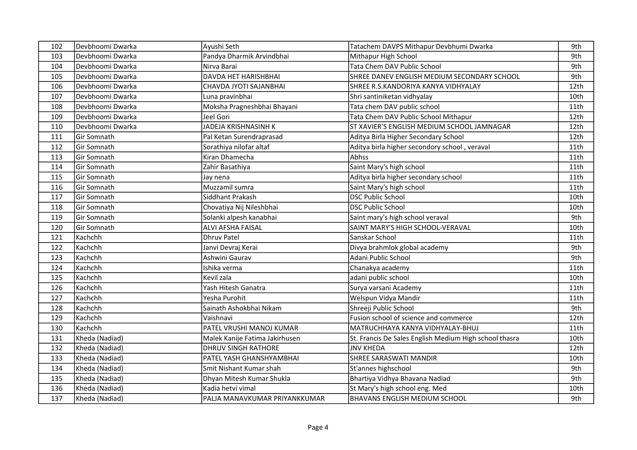| 102 | Devbhoomi Dwarka | Ayushi Seth                    | Tatachem DAVPS Mithapur Devbhumi Dwarka                | 9th  |
|-----|------------------|--------------------------------|--------------------------------------------------------|------|
| 103 | Devbhoomi Dwarka | Pandya Dharmik Arvindbhai      | Mithapur High School                                   | 9th  |
| 104 | Devbhoomi Dwarka | Nirva Barai                    | Tata Chem DAV Public School                            | 9th  |
| 105 | Devbhoomi Dwarka | <b>DAVDA HET HARISHBHAI</b>    | SHREE DANEV ENGLISH MEDIUM SECONDARY SCHOOL            | 9th  |
| 106 | Devbhoomi Dwarka | CHAVDA JYOTI SAJANBHAI         | SHREE R.S.KANDORIYA KANYA VIDHYALAY                    | 12th |
| 107 | Devbhoomi Dwarka | Luna pravinbhai                | Shri santiniketan vidhyalay                            | 10th |
| 108 | Devbhoomi Dwarka | Moksha Pragneshbhai Bhayani    | Tata chem DAV public school                            | 11th |
| 109 | Devbhoomi Dwarka | Jeel Gori                      | Tata Chem DAV Public School Mithapur                   | 12th |
| 110 | Devbhoomi Dwarka | JADEJA KRISHNASINH K           | ST XAVIER'S ENGLISH MEDIUM SCHOOL JAMNAGAR             | 12th |
| 111 | Gir Somnath      | Pal Ketan Surendraprasad       | Aditya Birla Higher Secondary School                   | 12th |
| 112 | Gir Somnath      | Sorathiya nilofar altaf        | Aditya birla higher secondory school, veraval          | 11th |
| 113 | Gir Somnath      | Kiran Dhamecha                 | Abhss                                                  | 11th |
| 114 | Gir Somnath      | Zahir Basathiya                | Saint Mary's high school                               | 11th |
| 115 | Gir Somnath      | Jay nena                       | Aditya birla higher secondary school                   | 11th |
| 116 | Gir Somnath      | Muzzamil sumra                 | Saint Mary's high school                               | 11th |
| 117 | Gir Somnath      | Siddhant Prakash               | <b>DSC Public School</b>                               | 10th |
| 118 | Gir Somnath      | Chovatiya Nij Nileshbhai       | <b>DSC Public School</b>                               | 10th |
| 119 | Gir Somnath      | Solanki alpesh kanabhai        | Saint mary's high school veraval                       | 9th  |
| 120 | Gir Somnath      | <b>ALVI AFSHA FAISAL</b>       | SAINT MARY'S HIGH SCHOOL-VERAVAL                       | 10th |
| 121 | Kachchh          | <b>Dhruv Patel</b>             | Sanskar School                                         | 11th |
| 122 | Kachchh          | Janvi Devraj Kerai             | Divya brahmlok global academy                          | 9th  |
| 123 | Kachchh          | Ashwini Gaurav                 | Adani Public School                                    | 9th  |
| 124 | Kachchh          | Ishika verma                   | Chanakya academy                                       | 11th |
| 125 | Kachchh          | Kevil zala                     | adani public school                                    | 10th |
| 126 | Kachchh          | Yash Hitesh Ganatra            | Surya varsani Academy                                  | 11th |
| 127 | Kachchh          | Yesha Purohit                  | Welspun Vidya Mandir                                   | 11th |
| 128 | Kachchh          | Sainath Ashokbhai Nikam        | Shreeji Public School                                  | 9th  |
| 129 | Kachchh          | Vaishnavi                      | Fusion school of science and commerce                  | 12th |
| 130 | Kachchh          | PATEL VRUSHI MANOJ KUMAR       | MATRUCHHAYA KANYA VIDHYALAY-BHUJ                       | 11th |
| 131 | Kheda (Nadiad)   | Malek Kanije Fatima Jakirhusen | St. Francis De Sales English Medium High school thasra | 10th |
| 132 | Kheda (Nadiad)   | <b>DHRUV SINGH RATHORE</b>     | <b>JNV KHEDA</b>                                       | 12th |
| 133 | Kheda (Nadiad)   | PATEL YASH GHANSHYAMBHAI       | SHREE SARASWATI MANDIR                                 | 10th |
| 134 | Kheda (Nadiad)   | Smit Nishant Kumar shah        | St'annes highschool                                    | 9th  |
| 135 | Kheda (Nadiad)   | Dhyan Mitesh Kumar Shukla      | Bhartiya Vidhya Bhavana Nadiad                         | 9th  |
| 136 | Kheda (Nadiad)   | Kadia hetvi vimal              | St Mary's high school eng. Med                         | 10th |
| 137 | Kheda (Nadiad)   | PALJA MANAVKUMAR PRIYANKKUMAR  | <b>BHAVANS ENGLISH MEDIUM SCHOOL</b>                   | 9th  |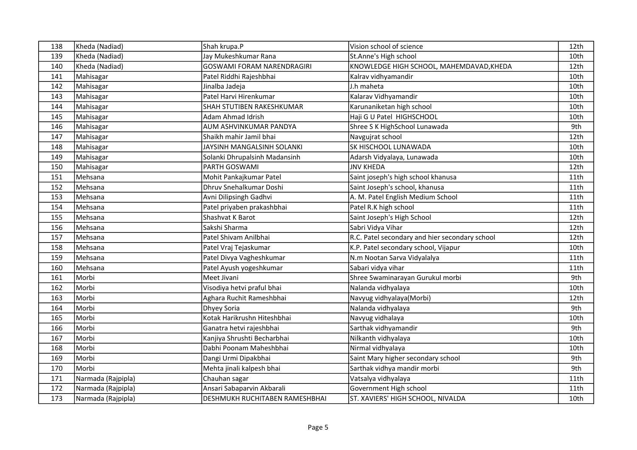| 138 | Kheda (Nadiad)     | Shah krupa.P                          | Vision school of science                       | 12th             |
|-----|--------------------|---------------------------------------|------------------------------------------------|------------------|
| 139 | Kheda (Nadiad)     | Jay Mukeshkumar Rana                  | St.Anne's High school                          | 10th             |
| 140 | Kheda (Nadiad)     | <b>GOSWAMI FORAM NARENDRAGIRI</b>     | KNOWLEDGE HIGH SCHOOL, MAHEMDAVAD, KHEDA       | 12th             |
| 141 | Mahisagar          | Patel Riddhi Rajeshbhai               | Kalrav vidhyamandir                            | 10th             |
| 142 | Mahisagar          | Jinalba Jadeja                        | J.h maheta                                     | 10th             |
| 143 | Mahisagar          | Patel Harvi Hirenkumar                | Kalarav Vidhyamandir                           | 10th             |
| 144 | Mahisagar          | SHAH STUTIBEN RAKESHKUMAR             | Karunaniketan high school                      | 10th             |
| 145 | Mahisagar          | Adam Ahmad Idrish                     | Haji G U Patel HIGHSCHOOL                      | 10th             |
| 146 | Mahisagar          | AUM ASHVINKUMAR PANDYA                | Shree S K HighSchool Lunawada                  | 9th              |
| 147 | Mahisagar          | Shaikh mahir Jamil bhai               | Navgujrat school                               | 12th             |
| 148 | Mahisagar          | JAYSINH MANGALSINH SOLANKI            | SK HISCHOOL LUNAWADA                           | 10th             |
| 149 | Mahisagar          | Solanki Dhrupalsinh Madansinh         | Adarsh Vidyalaya, Lunawada                     | 10th             |
| 150 | Mahisagar          | PARTH GOSWAMI                         | <b>JNV KHEDA</b>                               | 12th             |
| 151 | Mehsana            | Mohit Pankajkumar Patel               | Saint joseph's high school khanusa             | 11th             |
| 152 | Mehsana            | Dhruv Snehalkumar Doshi               | Saint Joseph's school, khanusa                 | 11th             |
| 153 | Mehsana            | Avni Dilipsingh Gadhvi                | A. M. Patel English Medium School              | 11th             |
| 154 | Mehsana            | Patel priyaben prakashbhai            | Patel R.K high school                          | 11th             |
| 155 | Mehsana            | Shashvat K Barot                      | Saint Joseph's High School                     | 12 <sub>th</sub> |
| 156 | Mehsana            | Sakshi Sharma                         | Sabri Vidya Vihar                              | 12th             |
| 157 | Mehsana            | Patel Shivam Anilbhai                 | R.C. Patel secondary and hier secondary school | 12th             |
| 158 | Mehsana            | Patel Vraj Tejaskumar                 | K.P. Patel secondary school, Vijapur           | 10th             |
| 159 | Mehsana            | Patel Divya Vagheshkumar              | N.m Nootan Sarva Vidyalalya                    | 11th             |
| 160 | Mehsana            | Patel Ayush yogeshkumar               | Sabari vidya vihar                             | 11th             |
| 161 | Morbi              | Meet Jivani                           | Shree Swaminarayan Gurukul morbi               | 9th              |
| 162 | Morbi              | Visodiya hetvi praful bhai            | Nalanda vidhyalaya                             | 10th             |
| 163 | Morbi              | Aghara Ruchit Rameshbhai              | Navyug vidhyalaya(Morbi)                       | 12th             |
| 164 | Morbi              | Dhyey Soria                           | Nalanda vidhyalaya                             | 9th              |
| 165 | Morbi              | Kotak Harikrushn Hiteshbhai           | Navyug vidhalaya                               | 10th             |
| 166 | Morbi              | Ganatra hetvi rajeshbhai              | Sarthak vidhyamandir                           | 9th              |
| 167 | Morbi              | Kanjiya Shrushti Becharbhai           | Nilkanth vidhyalaya                            | 10th             |
| 168 | Morbi              | Dabhi Poonam Maheshbhai               | Nirmal vidhyalaya                              | 10th             |
| 169 | Morbi              | Dangi Urmi Dipakbhai                  | Saint Mary higher secondary school             | 9th              |
| 170 | Morbi              | Mehta jinali kalpesh bhai             | Sarthak vidhya mandir morbi                    | 9th              |
| 171 | Narmada (Rajpipla) | Chauhan sagar                         | Vatsalya vidhyalaya                            | 11th             |
| 172 | Narmada (Rajpipla) | Ansari Sabaparvin Akbarali            | Government High school                         | 11th             |
| 173 | Narmada (Rajpipla) | <b>DESHMUKH RUCHITABEN RAMESHBHAI</b> | ST. XAVIERS' HIGH SCHOOL, NIVALDA              | 10th             |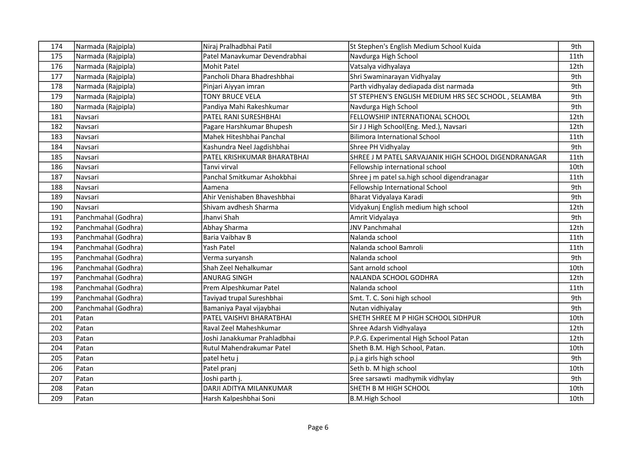| 174 | Narmada (Rajpipla)  | Niraj Pralhadbhai Patil       | St Stephen's English Medium School Kuida             | 9th  |
|-----|---------------------|-------------------------------|------------------------------------------------------|------|
| 175 | Narmada (Rajpipla)  | Patel Manavkumar Devendrabhai | Navdurga High School                                 | 11th |
| 176 | Narmada (Rajpipla)  | <b>Mohit Patel</b>            | Vatsalya vidhyalaya                                  | 12th |
| 177 | Narmada (Rajpipla)  | Pancholi Dhara Bhadreshbhai   | Shri Swaminarayan Vidhyalay                          | 9th  |
| 178 | Narmada (Rajpipla)  | Pinjari Aiyyan imran          | Parth vidhyalay dediapada dist narmada               | 9th  |
| 179 | Narmada (Rajpipla)  | <b>TONY BRUCE VELA</b>        | ST STEPHEN'S ENGLISH MEDIUM HRS SEC SCHOOL, SELAMBA  | 9th  |
| 180 | Narmada (Rajpipla)  | Pandiya Mahi Rakeshkumar      | Navdurga High School                                 | 9th  |
| 181 | Navsari             | PATEL RANI SURESHBHAI         | FELLOWSHIP INTERNATIONAL SCHOOL                      | 12th |
| 182 | Navsari             | Pagare Harshkumar Bhupesh     | Sir J J High School(Eng. Med.), Navsari              | 12th |
| 183 | Navsari             | Mahek Hiteshbhai Panchal      | Bilimora International School                        | 11th |
| 184 | Navsari             | Kashundra Neel Jagdishbhai    | Shree PH Vidhyalay                                   | 9th  |
| 185 | Navsari             | PATEL KRISHKUMAR BHARATBHAI   | SHREE J M PATEL SARVAJANIK HIGH SCHOOL DIGENDRANAGAR | 11th |
| 186 | Navsari             | Tanvi virval                  | Fellowship international school                      | 10th |
| 187 | Navsari             | Panchal Smitkumar Ashokbhai   | Shree j m patel sa.high school digendranagar         | 11th |
| 188 | Navsari             | Aamena                        | Fellowship International School                      | 9th  |
| 189 | Navsari             | Ahir Venishaben Bhaveshbhai   | Bharat Vidyalaya Karadi                              | 9th  |
| 190 | Navsari             | Shivam avdhesh Sharma         | Vidyakunj English medium high school                 | 12th |
| 191 | Panchmahal (Godhra) | Jhanvi Shah                   | Amrit Vidyalaya                                      | 9th  |
| 192 | Panchmahal (Godhra) | Abhay Sharma                  | <b>JNV Panchmahal</b>                                | 12th |
| 193 | Panchmahal (Godhra) | Baria Vaibhav B               | Nalanda school                                       | 11th |
| 194 | Panchmahal (Godhra) | Yash Patel                    | Nalanda school Bamroli                               | 11th |
| 195 | Panchmahal (Godhra) | Verma suryansh                | Nalanda school                                       | 9th  |
| 196 | Panchmahal (Godhra) | Shah Zeel Nehalkumar          | Sant arnold school                                   | 10th |
| 197 | Panchmahal (Godhra) | <b>ANURAG SINGH</b>           | NALANDA SCHOOL GODHRA                                | 12th |
| 198 | Panchmahal (Godhra) | Prem Alpeshkumar Patel        | Nalanda school                                       | 11th |
| 199 | Panchmahal (Godhra) | Taviyad trupal Sureshbhai     | Smt. T. C. Soni high school                          | 9th  |
| 200 | Panchmahal (Godhra) | Bamaniya Payal vijaybhai      | Nutan vidhiyalay                                     | 9th  |
| 201 | Patan               | PATEL VAISHVI BHARATBHAI      | SHETH SHREE M P HIGH SCHOOL SIDHPUR                  | 10th |
| 202 | Patan               | Raval Zeel Maheshkumar        | Shree Adarsh Vidhyalaya                              | 12th |
| 203 | Patan               | Joshi Janakkumar Prahladbhai  | P.P.G. Experimental High School Patan                | 12th |
| 204 | Patan               | Rutul Mahendrakumar Patel     | Sheth B.M. High School, Patan.                       | 10th |
| 205 | Patan               | patel hetu j                  | p.j.a girls high school                              | 9th  |
| 206 | Patan               | Patel pranj                   | Seth b. M high school                                | 10th |
| 207 | Patan               | Joshi parth j.                | Sree sarsawti madhymik vidhylay                      | 9th  |
| 208 | Patan               | DARJI ADITYA MILANKUMAR       | SHETH B M HIGH SCHOOL                                | 10th |
| 209 | Patan               | Harsh Kalpeshbhai Soni        | B.M.High School                                      | 10th |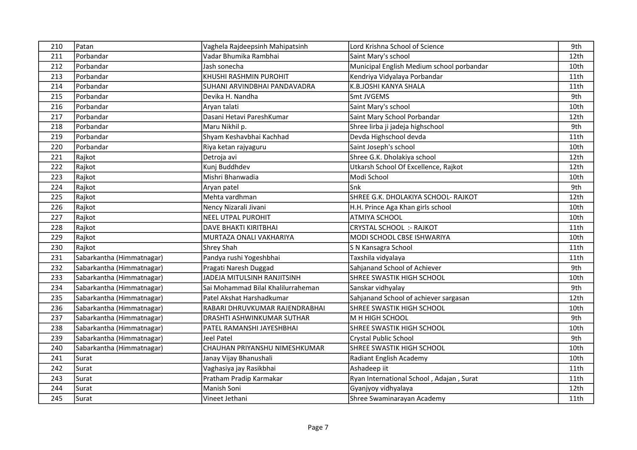| 210 | Patan                     | Vaghela Rajdeepsinh Mahipatsinh    | Lord Krishna School of Science            | 9th  |
|-----|---------------------------|------------------------------------|-------------------------------------------|------|
| 211 | Porbandar                 | Vadar Bhumika Rambhai              | Saint Mary's school                       | 12th |
| 212 | Porbandar                 | Jash sonecha                       | Municipal English Medium school porbandar | 10th |
| 213 | Porbandar                 | KHUSHI RASHMIN PUROHIT             | Kendriya Vidyalaya Porbandar              | 11th |
| 214 | Porbandar                 | SUHANI ARVINDBHAI PANDAVADRA       | K.B.JOSHI KANYA SHALA                     | 11th |
| 215 | Porbandar                 | Devika H. Nandha                   | Smt JVGEMS                                | 9th  |
| 216 | Porbandar                 | Aryan talati                       | Saint Mary's school                       | 10th |
| 217 | Porbandar                 | Dasani Hetavi PareshKumar          | Saint Mary School Porbandar               | 12th |
| 218 | Porbandar                 | Maru Nikhil p.                     | Shree lirba ji jadeja highschool          | 9th  |
| 219 | Porbandar                 | Shyam Keshavbhai Kachhad           | Devda Highschool devda                    | 11th |
| 220 | Porbandar                 | Riya ketan rajyaguru               | Saint Joseph's school                     | 10th |
| 221 | Rajkot                    | Detroja avi                        | Shree G.K. Dholakiya school               | 12th |
| 222 | Rajkot                    | Kunj Buddhdev                      | Utkarsh School Of Excellence, Rajkot      | 12th |
| 223 | Rajkot                    | Mishri Bhanwadia                   | Modi School                               | 10th |
| 224 | Rajkot                    | Aryan patel                        | lSnk                                      | 9th  |
| 225 | Rajkot                    | Mehta vardhman                     | SHREE G.K. DHOLAKIYA SCHOOL- RAJKOT       | 12th |
| 226 | Rajkot                    | Nency Nizarali Jivani              | H.H. Prince Aga Khan girls school         | 10th |
| 227 | Rajkot                    | <b>NEEL UTPAL PUROHIT</b>          | <b>ATMIYA SCHOOL</b>                      | 10th |
| 228 | Rajkot                    | <b>DAVE BHAKTI KIRITBHAI</b>       | CRYSTAL SCHOOL :- RAJKOT                  | 11th |
| 229 | Rajkot                    | MURTAZA ONALI VAKHARIYA            | MODI SCHOOL CBSE ISHWARIYA                | 10th |
| 230 | Rajkot                    | Shrey Shah                         | S N Kansagra School                       | 11th |
| 231 | Sabarkantha (Himmatnagar) | Pandya rushi Yogeshbhai            | Taxshila vidyalaya                        | 11th |
| 232 | Sabarkantha (Himmatnagar) | Pragati Naresh Duggad              | Sahjanand School of Achiever              | 9th  |
| 233 | Sabarkantha (Himmatnagar) | JADEJA MITULSINH RANJITSINH        | SHREE SWASTIK HIGH SCHOOL                 | 10th |
| 234 | Sabarkantha (Himmatnagar) | Sai Mohammad Bilal Khalilurraheman | Sanskar vidhyalay                         | 9th  |
| 235 | Sabarkantha (Himmatnagar) | Patel Akshat Harshadkumar          | Sahjanand School of achiever sargasan     | 12th |
| 236 | Sabarkantha (Himmatnagar) | RABARI DHRUVKUMAR RAJENDRABHAI     | SHREE SWASTIK HIGH SCHOOL                 | 10th |
| 237 | Sabarkantha (Himmatnagar) | DRASHTI ASHWINKUMAR SUTHAR         | M H HIGH SCHOOL                           | 9th  |
| 238 | Sabarkantha (Himmatnagar) | PATEL RAMANSHI JAYESHBHAI          | SHREE SWASTIK HIGH SCHOOL                 | 10th |
| 239 | Sabarkantha (Himmatnagar) | <b>Jeel Patel</b>                  | Crystal Public School                     | 9th  |
| 240 | Sabarkantha (Himmatnagar) | CHAUHAN PRIYANSHU NIMESHKUMAR      | SHREE SWASTIK HIGH SCHOOL                 | 10th |
| 241 | Surat                     | Janay Vijay Bhanushali             | Radiant English Academy                   | 10th |
| 242 | Surat                     | Vaghasiya jay Rasikbhai            | Ashadeep iit                              | 11th |
| 243 | Surat                     | Pratham Pradip Karmakar            | Ryan International School, Adajan, Surat  | 11th |
| 244 | Surat                     | Manish Soni                        | Gyanjyoy vidhyalaya                       | 12th |
| 245 | Surat                     | Vineet Jethani                     | Shree Swaminarayan Academy                | 11th |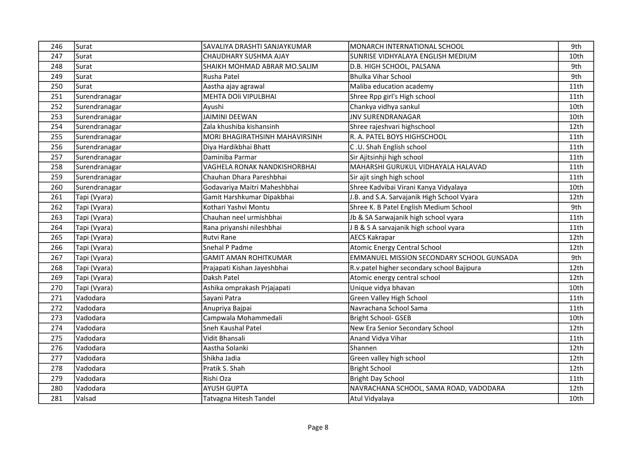| 246 | Surat         | SAVALIYA DRASHTI SANJAYKUMAR   | MONARCH INTERNATIONAL SCHOOL               | 9th  |
|-----|---------------|--------------------------------|--------------------------------------------|------|
| 247 | Surat         | CHAUDHARY SUSHMA AJAY          | SUNRISE VIDHYALAYA ENGLISH MEDIUM          | 10th |
| 248 | Surat         | SHAIKH MOHMAD ABRAR MO.SALIM   | D.B. HIGH SCHOOL, PALSANA                  | 9th  |
| 249 | Surat         | Rusha Patel                    | <b>Bhulka Vihar School</b>                 | 9th  |
| 250 | Surat         | Aastha ajay agrawal            | Maliba education academy                   | 11th |
| 251 | Surendranagar | MEHTA DOII VIPULBHAI           | Shree Rpp girl's High school               | 11th |
| 252 | Surendranagar | Ayushi                         | Chankya vidhya sankul                      | 10th |
| 253 | Surendranagar | JAIMINI DEEWAN                 | <b>JNV SURENDRANAGAR</b>                   | 10th |
| 254 | Surendranagar | Zala khushiba kishansinh       | Shree rajeshvari highschool                | 12th |
| 255 | Surendranagar | MORI BHAGIRATHSINH MAHAVIRSINH | R. A. PATEL BOYS HIGHSCHOOL                | 11th |
| 256 | Surendranagar | Diya Hardikbhai Bhatt          | C.U. Shah English school                   | 11th |
| 257 | Surendranagar | Daminiba Parmar                | Sir Ajitsinhji high school                 | 11th |
| 258 | Surendranagar | VAGHELA RONAK NANDKISHORBHAI   | MAHARSHI GURUKUL VIDHAYALA HALAVAD         | 11th |
| 259 | Surendranagar | Chauhan Dhara Pareshbhai       | Sir ajit singh high school                 | 11th |
| 260 | Surendranagar | Godavariya Maitri Maheshbhai   | Shree Kadvibai Virani Kanya Vidyalaya      | 10th |
| 261 | Tapi (Vyara)  | Gamit Harshkumar Dipakbhai     | J.B. and S.A. Sarvajanik High School Vyara | 12th |
| 262 | Tapi (Vyara)  | Kothari Yashvi Montu           | Shree K. B Patel English Medium School     | 9th  |
| 263 | Tapi (Vyara)  | Chauhan neel urmishbhai        | Jb & SA Sarwajanik high school vyara       | 11th |
| 264 | Tapi (Vyara)  | Rana priyanshi nileshbhai      | J B & S A sarvajanik high school vyara     | 11th |
| 265 | Tapi (Vyara)  | Rutvi Rane                     | <b>AECS Kakrapar</b>                       | 12th |
| 266 | Tapi (Vyara)  | Snehal P Padme                 | <b>Atomic Energy Central School</b>        | 12th |
| 267 | Tapi (Vyara)  | <b>GAMIT AMAN ROHITKUMAR</b>   | EMMANUEL MISSION SECONDARY SCHOOL GUNSADA  | 9th  |
| 268 | Tapi (Vyara)  | Prajapati Kishan Jayeshbhai    | R.v.patel higher secondary school Bajipura | 12th |
| 269 | Tapi (Vyara)  | Daksh Patel                    | Atomic energy central school               | 12th |
| 270 | Tapi (Vyara)  | Ashika omprakash Prjajapati    | Unique vidya bhavan                        | 10th |
| 271 | Vadodara      | Sayani Patra                   | Green Valley High School                   | 11th |
| 272 | Vadodara      | Anupriya Bajpai                | Navrachana School Sama                     | 11th |
| 273 | Vadodara      | Campwala Mohammedali           | Bright School- GSEB                        | 10th |
| 274 | Vadodara      | Sneh Kaushal Patel             | New Era Senior Secondary School            | 12th |
| 275 | Vadodara      | Vidit Bhansali                 | Anand Vidya Vihar                          | 11th |
| 276 | Vadodara      | Aastha Solanki                 | Shannen                                    | 12th |
| 277 | Vadodara      | Shikha Jadia                   | Green valley high school                   | 12th |
| 278 | Vadodara      | Pratik S. Shah                 | <b>Bright School</b>                       | 12th |
| 279 | Vadodara      | Rishi Oza                      | <b>Bright Day School</b>                   | 11th |
| 280 | Vadodara      | <b>AYUSH GUPTA</b>             | NAVRACHANA SCHOOL, SAMA ROAD, VADODARA     | 12th |
| 281 | Valsad        | Tatvagna Hitesh Tandel         | Atul Vidyalaya                             | 10th |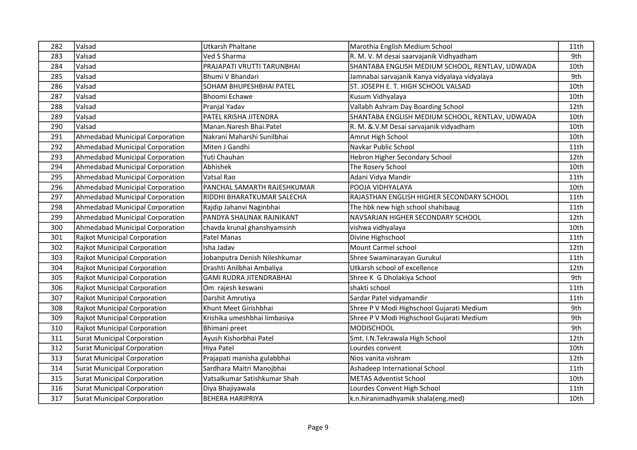| 282 | Valsad                             | <b>Utkarsh Phaltane</b>        | Marothia English Medium School                  | 11th |
|-----|------------------------------------|--------------------------------|-------------------------------------------------|------|
| 283 | Valsad                             | Ved S Sharma                   | R. M. V. M desai saarvajanik Vidhyadham         | 9th  |
| 284 | Valsad                             | PRAJAPATI VRUTTI TARUNBHAI     | SHANTABA ENGLISH MEDIUM SCHOOL, RENTLAV, UDWADA | 10th |
| 285 | Valsad                             | Bhumi V Bhandari               | Jamnabai sarvajanik Kanya vidyalaya vidyalaya   | 9th  |
| 286 | Valsad                             | SOHAM BHUPESHBHAI PATEL        | ST. JOSEPH E. T. HIGH SCHOOL VALSAD             | 10th |
| 287 | Valsad                             | <b>Bhoomi Echawe</b>           | Kusum Vidhyalaya                                | 10th |
| 288 | Valsad                             | Pranjal Yadav                  | Vallabh Ashram Day Boarding School              | 12th |
| 289 | Valsad                             | PATEL KRISHA JITENDRA          | SHANTABA ENGLISH MEDIUM SCHOOL, RENTLAV, UDWADA | 10th |
| 290 | Valsad                             | Manan.Naresh Bhai.Patel        | R. M. &.V.M Desai sarvajanik vidyadham          | 10th |
| 291 | Ahmedabad Municipal Corporation    | Nakrani Maharshi Sunilbhai     | Amrut High School                               | 10th |
| 292 | Ahmedabad Municipal Corporation    | Miten J Gandhi                 | Navkar Public School                            | 11th |
| 293 | Ahmedabad Municipal Corporation    | Yuti Chauhan                   | Hebron Higher Secondary School                  | 12th |
| 294 | Ahmedabad Municipal Corporation    | Abhishek                       | The Rosery School                               | 10th |
| 295 | Ahmedabad Municipal Corporation    | Vatsal Rao                     | Adani Vidya Mandir                              | 11th |
| 296 | Ahmedabad Municipal Corporation    | PANCHAL SAMARTH RAJESHKUMAR    | POOJA VIDHYALAYA                                | 10th |
| 297 | Ahmedabad Municipal Corporation    | RIDDHI BHARATKUMAR SALECHA     | RAJASTHAN ENGLISH HIGHER SECONDARY SCHOOL       | 11th |
| 298 | Ahmedabad Municipal Corporation    | Rajdip Jahanvi Naginbhai       | The hbk new high school shahibaug               | 11th |
| 299 | Ahmedabad Municipal Corporation    | PANDYA SHAUNAK RAJNIKANT       | NAVSARJAN HIGHER SECONDARY SCHOOL               | 12th |
| 300 | Ahmedabad Municipal Corporation    | chavda krunal ghanshyamsinh    | vishwa vidhyalaya                               | 10th |
| 301 | Rajkot Municipal Corporation       | Patel Manas                    | Divine Highschool                               | 11th |
| 302 | Rajkot Municipal Corporation       | Isha Jadav                     | Mount Carmel school                             | 12th |
| 303 | Rajkot Municipal Corporation       | Jobanputra Denish Nileshkumar  | Shree Swaminarayan Gurukul                      | 11th |
| 304 | Rajkot Municipal Corporation       | Drashti Anilbhai Ambaliya      | Utkarsh school of excellence                    | 12th |
| 305 | Rajkot Municipal Corporation       | <b>GAMI RUDRA JITENDRABHAI</b> | Shree K G Dholakiya School                      | 9th  |
| 306 | Rajkot Municipal Corporation       | Om rajesh keswani              | shakti school                                   | 11th |
| 307 | Rajkot Municipal Corporation       | Darshit Amrutiya               | Sardar Patel vidyamandir                        | 11th |
| 308 | Rajkot Municipal Corporation       | Khunt Meet Girishbhai          | Shree P V Modi Highschool Gujarati Medium       | 9th  |
| 309 | Rajkot Municipal Corporation       | Krishika umeshbhai limbasiya   | Shree P V Modi Highschool Gujarati Medium       | 9th  |
| 310 | Rajkot Municipal Corporation       | Bhimani preet                  | MODISCHOOL                                      | 9th  |
| 311 | <b>Surat Municipal Corporation</b> | Ayush Kishorbhai Patel         | Smt. I.N.Tekrawala High School                  | 12th |
| 312 | <b>Surat Municipal Corporation</b> | Hiya Patel                     | Lourdes convent                                 | 10th |
| 313 | <b>Surat Municipal Corporation</b> | Prajapati manisha gulabbhai    | Nios vanita vishram                             | 12th |
| 314 | <b>Surat Municipal Corporation</b> | Sardhara Maitri Manojbhai      | Ashadeep International School                   | 11th |
| 315 | <b>Surat Municipal Corporation</b> | Vatsalkumar Satishkumar Shah   | METAS Adventist School                          | 10th |
| 316 | <b>Surat Municipal Corporation</b> | Diya Bhajiyawala               | Lourdes Convent High School                     | 11th |
| 317 | <b>Surat Municipal Corporation</b> | <b>BEHERA HARIPRIYA</b>        | k.n.hiranimadhyamik shala(eng.med)              | 10th |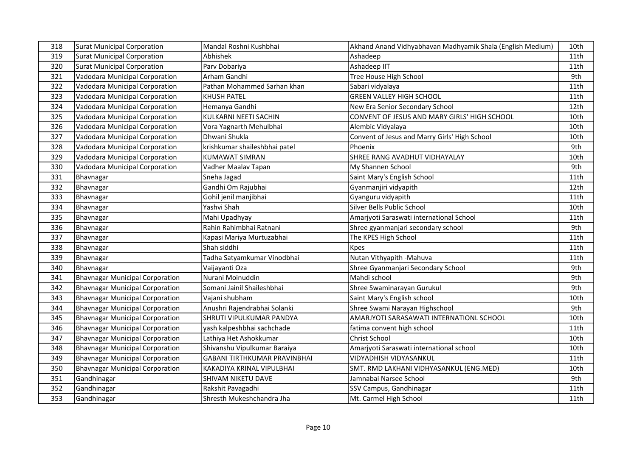| 318 | Surat Municipal Corporation            | Mandal Roshni Kushbhai              | Akhand Anand Vidhyabhavan Madhyamik Shala (English Medium) | 10th |
|-----|----------------------------------------|-------------------------------------|------------------------------------------------------------|------|
| 319 | <b>Surat Municipal Corporation</b>     | Abhishek                            | Ashadeep                                                   | 11th |
| 320 | <b>Surat Municipal Corporation</b>     | Parv Dobariya                       | Ashadeep IIT                                               | 11th |
| 321 | Vadodara Municipal Corporation         | Arham Gandhi                        | Tree House High School                                     | 9th  |
| 322 | Vadodara Municipal Corporation         | Pathan Mohammed Sarhan khan         | Sabari vidyalaya                                           | 11th |
| 323 | Vadodara Municipal Corporation         | <b>KHUSH PATEL</b>                  | <b>GREEN VALLEY HIGH SCHOOL</b>                            | 11th |
| 324 | Vadodara Municipal Corporation         | Hemanya Gandhi                      | New Era Senior Secondary School                            | 12th |
| 325 | Vadodara Municipal Corporation         | KULKARNI NEETI SACHIN               | CONVENT OF JESUS AND MARY GIRLS' HIGH SCHOOL               | 10th |
| 326 | Vadodara Municipal Corporation         | Vora Yagnarth Mehulbhai             | Alembic Vidyalaya                                          | 10th |
| 327 | Vadodara Municipal Corporation         | Dhwani Shukla                       | Convent of Jesus and Marry Girls' High School              | 10th |
| 328 | Vadodara Municipal Corporation         | krishkumar shaileshbhai patel       | Phoenix                                                    | 9th  |
| 329 | Vadodara Municipal Corporation         | <b>KUMAWAT SIMRAN</b>               | SHREE RANG AVADHUT VIDHAYALAY                              | 10th |
| 330 | Vadodara Municipal Corporation         | Vadher Maalav Tapan                 | My Shannen School                                          | 9th  |
| 331 | Bhavnagar                              | Sneha Jagad                         | Saint Mary's English School                                | 11th |
| 332 | Bhavnagar                              | Gandhi Om Rajubhai                  | Gyanmanjiri vidyapith                                      | 12th |
| 333 | Bhavnagar                              | Gohil jenil manjibhai               | Gyanguru vidyapith                                         | 11th |
| 334 | Bhavnagar                              | Yashvi Shah                         | Silver Bells Public School                                 | 10th |
| 335 | Bhavnagar                              | Mahi Upadhyay                       | Amarjyoti Saraswati international School                   | 11th |
| 336 | Bhavnagar                              | Rahin Rahimbhai Ratnani             | Shree gyanmanjari secondary school                         | 9th  |
| 337 | Bhavnagar                              | Kapasi Mariya Murtuzabhai           | The KPES High School                                       | 11th |
| 338 | Bhavnagar                              | Shah siddhi                         | Kpes                                                       | 11th |
| 339 | Bhavnagar                              | Tadha Satyamkumar Vinodbhai         | Nutan Vithyapith -Mahuva                                   | 11th |
| 340 | Bhavnagar                              | Vaijayanti Oza                      | Shree Gyanmanjari Secondary School                         | 9th  |
| 341 | <b>Bhavnagar Municipal Corporation</b> | Nurani Moinuddin                    | Mahdi school                                               | 9th  |
| 342 | Bhavnagar Municipal Corporation        | Somani Jainil Shaileshbhai          | Shree Swaminarayan Gurukul                                 | 9th  |
| 343 | Bhavnagar Municipal Corporation        | Vajani shubham                      | Saint Mary's English school                                | 10th |
| 344 | <b>Bhavnagar Municipal Corporation</b> | Anushri Rajendrabhai Solanki        | Shree Swami Narayan Highschool                             | 9th  |
| 345 | <b>Bhavnagar Municipal Corporation</b> | SHRUTI VIPULKUMAR PANDYA            | AMARJYOTI SARASAWATI INTERNATIONL SCHOOL                   | 10th |
| 346 | Bhavnagar Municipal Corporation        | yash kalpeshbhai sachchade          | fatima convent high school                                 | 11th |
| 347 | <b>Bhavnagar Municipal Corporation</b> | Lathiya Het Ashokkumar              | Christ School                                              | 10th |
| 348 | <b>Bhavnagar Municipal Corporation</b> | Shivanshu Vipulkumar Baraiya        | Amarjyoti Saraswati international school                   | 10th |
| 349 | Bhavnagar Municipal Corporation        | <b>GABANI TIRTHKUMAR PRAVINBHAI</b> | <b>VIDYADHISH VIDYASANKUL</b>                              | 11th |
| 350 | Bhavnagar Municipal Corporation        | KAKADIYA KRINAL VIPULBHAI           | SMT. RMD LAKHANI VIDHYASANKUL (ENG.MED)                    | 10th |
| 351 | Gandhinagar                            | SHIVAM NIKETU DAVE                  | Jamnabai Narsee School                                     | 9th  |
| 352 | Gandhinagar                            | Rakshit Pavagadhi                   | SSV Campus, Gandhinagar                                    | 11th |
| 353 | Gandhinagar                            | Shresth Mukeshchandra Jha           | Mt. Carmel High School                                     | 11th |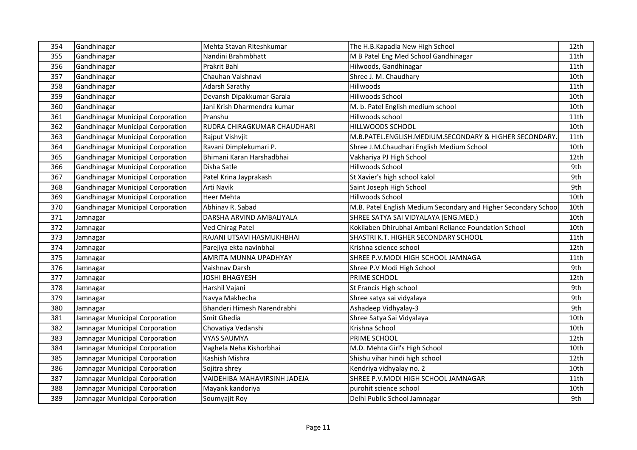| 354 | Gandhinagar                              | Mehta Stavan Riteshkumar     | The H.B.Kapadia New High School                                | 12th |
|-----|------------------------------------------|------------------------------|----------------------------------------------------------------|------|
| 355 | Gandhinagar                              | Nandini Brahmbhatt           | M B Patel Eng Med School Gandhinagar                           | 11th |
| 356 | Gandhinagar                              | Prakrit Bahl                 | Hilwoods, Gandhinagar                                          | 11th |
| 357 | Gandhinagar                              | Chauhan Vaishnavi            | Shree J. M. Chaudhary                                          | 10th |
| 358 | Gandhinagar                              | <b>Adarsh Sarathy</b>        | Hillwoods                                                      | 11th |
| 359 | Gandhinagar                              | Devansh Dipakkumar Garala    | Hillwoods School                                               | 10th |
| 360 | Gandhinagar                              | Jani Krish Dharmendra kumar  | M. b. Patel English medium school                              | 10th |
| 361 | <b>Gandhinagar Municipal Corporation</b> | Pranshu                      | Hillwoods school                                               | 11th |
| 362 | <b>Gandhinagar Municipal Corporation</b> | RUDRA CHIRAGKUMAR CHAUDHARI  | HILLWOODS SCHOOL                                               | 10th |
| 363 | <b>Gandhinagar Municipal Corporation</b> | Rajput Vishvjit              | M.B.PATEL.ENGLISH.MEDIUM.SECONDARY & HIGHER SECONDARY          | 11th |
| 364 | <b>Gandhinagar Municipal Corporation</b> | Ravani Dimplekumari P.       | Shree J.M.Chaudhari English Medium School                      | 10th |
| 365 | <b>Gandhinagar Municipal Corporation</b> | Bhimani Karan Harshadbhai    | Vakhariya PJ High School                                       | 12th |
| 366 | <b>Gandhinagar Municipal Corporation</b> | Disha Satle                  | Hillwoods School                                               | 9th  |
| 367 | <b>Gandhinagar Municipal Corporation</b> | Patel Krina Jayprakash       | St Xavier's high school kalol                                  | 9th  |
| 368 | <b>Gandhinagar Municipal Corporation</b> | Arti Navik                   | Saint Joseph High School                                       | 9th  |
| 369 | <b>Gandhinagar Municipal Corporation</b> | Heer Mehta                   | Hillwoods School                                               | 10th |
| 370 | <b>Gandhinagar Municipal Corporation</b> | Abhinav R. Sabad             | M.B. Patel English Medium Secondary and Higher Secondary Schoo | 10th |
| 371 | Jamnagar                                 | DARSHA ARVIND AMBALIYALA     | SHREE SATYA SAI VIDYALAYA (ENG.MED.)                           | 10th |
| 372 | Jamnagar                                 | Ved Chirag Patel             | Kokilaben Dhirubhai Ambani Reliance Foundation School          | 10th |
| 373 | Jamnagar                                 | RAJANI UTSAVI HASMUKHBHAI    | SHASTRI K.T. HIGHER SECONDARY SCHOOL                           | 11th |
| 374 | Jamnagar                                 | Parejiya ekta navinbhai      | Krishna science school                                         | 12th |
| 375 | Jamnagar                                 | AMRITA MUNNA UPADHYAY        | SHREE P.V.MODI HIGH SCHOOL JAMNAGA                             | 11th |
| 376 | Jamnagar                                 | Vaishnav Darsh               | Shree P.V Modi High School                                     | 9th  |
| 377 | Jamnagar                                 | <b>JOSHI BHAGYESH</b>        | <b>PRIME SCHOOL</b>                                            | 12th |
| 378 | Jamnagar                                 | Harshil Vajani               | St Francis High school                                         | 9th  |
| 379 | Jamnagar                                 | Navya Makhecha               | Shree satya sai vidyalaya                                      | 9th  |
| 380 | Jamnagar                                 | Bhanderi Himesh Narendrabhi  | Ashadeep Vidhyalay-3                                           | 9th  |
| 381 | Jamnagar Municipal Corporation           | Smit Ghedia                  | Shree Satya Sai Vidyalaya                                      | 10th |
| 382 | Jamnagar Municipal Corporation           | Chovatiya Vedanshi           | Krishna School                                                 | 10th |
| 383 | Jamnagar Municipal Corporation           | <b>VYAS SAUMYA</b>           | <b>PRIME SCHOOL</b>                                            | 12th |
| 384 | Jamnagar Municipal Corporation           | Vaghela Neha Kishorbhai      | M.D. Mehta Girl's High School                                  | 10th |
| 385 | Jamnagar Municipal Corporation           | Kashish Mishra               | Shishu vihar hindi high school                                 | 12th |
| 386 | Jamnagar Municipal Corporation           | Sojitra shrey                | Kendriya vidhyalay no. 2                                       | 10th |
| 387 | Jamnagar Municipal Corporation           | VAIDEHIBA MAHAVIRSINH JADEJA | SHREE P.V.MODI HIGH SCHOOL JAMNAGAR                            | 11th |
| 388 | Jamnagar Municipal Corporation           | Mayank kandoriya             | purohit science school                                         | 10th |
| 389 | Jamnagar Municipal Corporation           | Soumyajit Roy                | Delhi Public School Jamnagar                                   | 9th  |